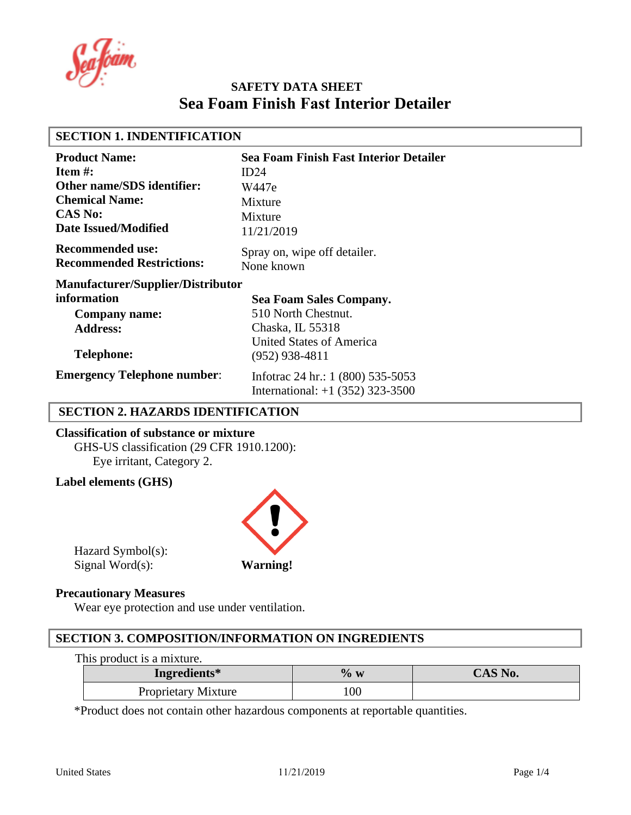#### **SECTION 1. INDENTIFICATION Product Name: Item #: Other name/SDS identifier: Chemical Name: CAS No: Date Issued/Modified Recommended use: Recommended Restrictions: Sea Foam Finish Fast Interior Detailer**   $ID24$ W447e Mixture Mixture 11/21/2019 Spray on, wipe off detailer. None known **Manufacturer/Supplier/Distributor information Company name: Address: Telephone: Emergency Telephone number**: **Sea Foam Sales Company.**  510 North Chestnut. Chaska, IL 55318 United States of America (952) 938-4811 Infotrac 24 hr.: 1 (800) 535-5053 International: +1 (352) 323-3500

# **SECTION 2. HAZARDS IDENTIFICATION**

**Classification of substance or mixture** GHS-US classification (29 CFR 1910.1200): Eye irritant, Category 2.

# **Label elements (GHS)**



Hazard Symbol(s): Signal Word(s): **Warning!**

#### **Precautionary Measures**

Wear eye protection and use under ventilation.

# **SECTION 3. COMPOSITION/INFORMATION ON INGREDIENTS**

#### This product is a mixture.

| Ingredients*        | $\%$ w          | CAS No. |
|---------------------|-----------------|---------|
| Proprietary Mixture | $\overline{00}$ |         |

\*Product does not contain other hazardous components at reportable quantities.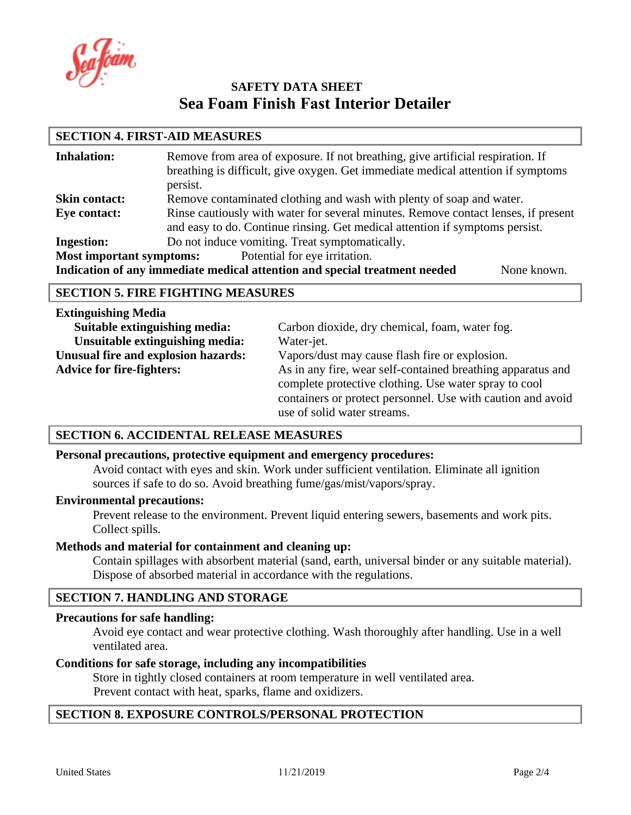afoam

# **SECTION 4. FIRST-AID MEASURES**

| <b>Inhalation:</b>              | Remove from area of exposure. If not breathing, give artificial respiration. If<br>breathing is difficult, give oxygen. Get immediate medical attention if symptoms<br>persist. |  |
|---------------------------------|---------------------------------------------------------------------------------------------------------------------------------------------------------------------------------|--|
| <b>Skin contact:</b>            | Remove contaminated clothing and wash with plenty of soap and water.                                                                                                            |  |
| Eye contact:                    | Rinse cautiously with water for several minutes. Remove contact lenses, if present                                                                                              |  |
|                                 | and easy to do. Continue rinsing. Get medical attention if symptoms persist.                                                                                                    |  |
| <b>Ingestion:</b>               | Do not induce vomiting. Treat symptomatically.                                                                                                                                  |  |
| <b>Most important symptoms:</b> | Potential for eye irritation.                                                                                                                                                   |  |
|                                 | Indication of any immediate medical attention and special treatment needed<br>None known.                                                                                       |  |

#### **SECTION 5. FIRE FIGHTING MEASURES**

| <b>Extinguishing Media</b>          |                                                             |
|-------------------------------------|-------------------------------------------------------------|
| Suitable extinguishing media:       | Carbon dioxide, dry chemical, foam, water fog.              |
| Unsuitable extinguishing media:     | Water-jet.                                                  |
| Unusual fire and explosion hazards: | Vapors/dust may cause flash fire or explosion.              |
| <b>Advice for fire-fighters:</b>    | As in any fire, wear self-contained breathing apparatus and |
|                                     | complete protective clothing. Use water spray to cool       |
|                                     | containers or protect personnel. Use with caution and avoid |
|                                     | use of solid water streams.                                 |

# **SECTION 6. ACCIDENTAL RELEASE MEASURES**

#### **Personal precautions, protective equipment and emergency procedures:**

Avoid contact with eyes and skin. Work under sufficient ventilation. Eliminate all ignition sources if safe to do so. Avoid breathing fume/gas/mist/vapors/spray.

#### **Environmental precautions:**

Prevent release to the environment. Prevent liquid entering sewers, basements and work pits. Collect spills.

#### **Methods and material for containment and cleaning up:**

Contain spillages with absorbent material (sand, earth, universal binder or any suitable material). Dispose of absorbed material in accordance with the regulations.

# **SECTION 7. HANDLING AND STORAGE**

#### **Precautions for safe handling:**

Avoid eye contact and wear protective clothing. Wash thoroughly after handling. Use in a well ventilated area.

#### **Conditions for safe storage, including any incompatibilities**

Store in tightly closed containers at room temperature in well ventilated area. Prevent contact with heat, sparks, flame and oxidizers.

#### **SECTION 8. EXPOSURE CONTROLS/PERSONAL PROTECTION**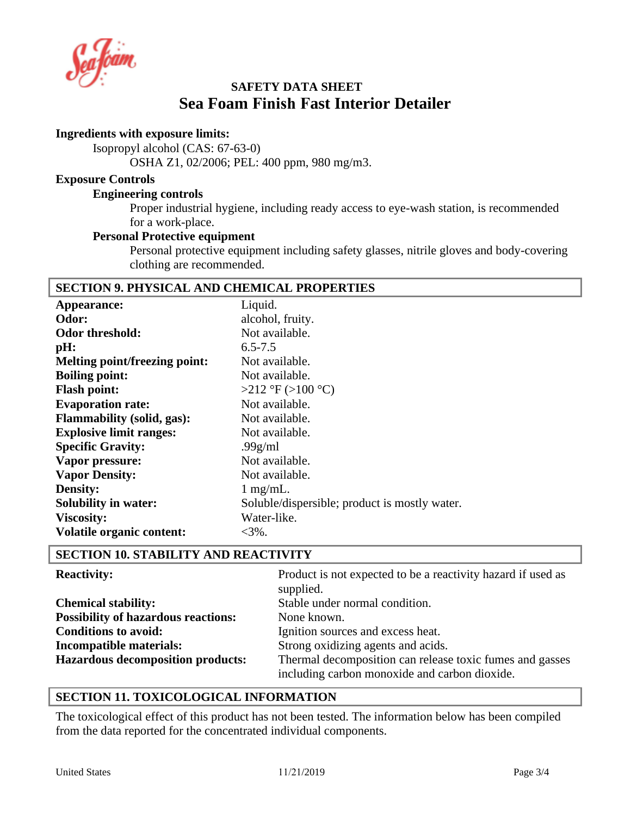afoam

### **Ingredients with exposure limits:**

Isopropyl alcohol (CAS: 67-63-0)

OSHA Z1, 02/2006; PEL: 400 ppm, 980 mg/m3.

#### **Exposure Controls**

#### **Engineering controls**

Proper industrial hygiene, including ready access to eye-wash station, is recommended for a work-place.

### **Personal Protective equipment**

Personal protective equipment including safety glasses, nitrile gloves and body-covering clothing are recommended.

# **SECTION 9. PHYSICAL AND CHEMICAL PROPERTIES**

| Appearance:                          | Liquid.                                       |
|--------------------------------------|-----------------------------------------------|
| Odor:                                | alcohol, fruity.                              |
| <b>Odor threshold:</b>               | Not available.                                |
| pH:                                  | $6.5 - 7.5$                                   |
| <b>Melting point/freezing point:</b> | Not available.                                |
| <b>Boiling point:</b>                | Not available.                                |
| <b>Flash point:</b>                  | $>212$ °F ( $>100$ °C)                        |
| <b>Evaporation rate:</b>             | Not available.                                |
| <b>Flammability (solid, gas):</b>    | Not available.                                |
| <b>Explosive limit ranges:</b>       | Not available.                                |
| <b>Specific Gravity:</b>             | .99 $g/ml$                                    |
| Vapor pressure:                      | Not available.                                |
| <b>Vapor Density:</b>                | Not available.                                |
| <b>Density:</b>                      | $1$ mg/mL.                                    |
| <b>Solubility in water:</b>          | Soluble/dispersible; product is mostly water. |
| <b>Viscosity:</b>                    | Water-like.                                   |
| <b>Volatile organic content:</b>     | $<$ 3%.                                       |
|                                      |                                               |

# **SECTION 10. STABILITY AND REACTIVITY**

| <b>Reactivity:</b>                         | Product is not expected to be a reactivity hazard if used as<br>supplied.                                 |
|--------------------------------------------|-----------------------------------------------------------------------------------------------------------|
| <b>Chemical stability:</b>                 | Stable under normal condition.                                                                            |
| <b>Possibility of hazardous reactions:</b> | None known.                                                                                               |
| <b>Conditions to avoid:</b>                | Ignition sources and excess heat.                                                                         |
| Incompatible materials:                    | Strong oxidizing agents and acids.                                                                        |
| <b>Hazardous decomposition products:</b>   | Thermal decomposition can release toxic fumes and gasses<br>including carbon monoxide and carbon dioxide. |

# **SECTION 11. TOXICOLOGICAL INFORMATION**

The toxicological effect of this product has not been tested. The information below has been compiled from the data reported for the concentrated individual components.